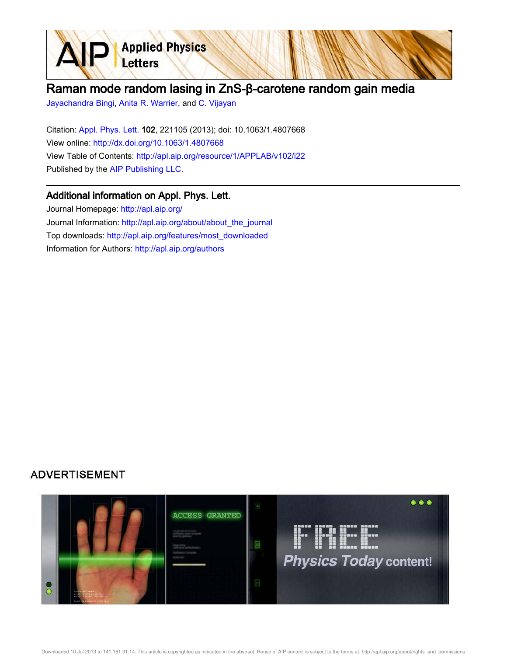

Jayachandra Bingi, Anita R. Warrier, and C. Vijayan

Letters

**Applied Physics** 

Citation: Appl. Phys. Lett. 102, 221105 (2013); doi: 10.1063/1.4807668 View online: http://dx.doi.org/10.1063/1.4807668 View Table of Contents: http://apl.aip.org/resource/1/APPLAB/v102/i22 Published by the AIP Publishing LLC.

## Additional information on Appl. Phys. Lett.

Journal Homepage: http://apl.aip.org/ Journal Information: http://apl.aip.org/about/about\_the\_journal Top downloads: http://apl.aip.org/features/most\_downloaded Information for Authors: http://apl.aip.org/authors

## **ADVERTISEMENT**

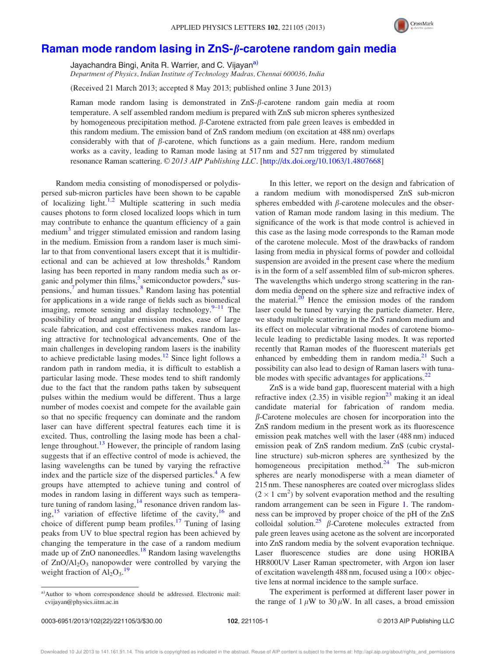

## Raman mode random lasing in  $ZnS-\beta$ -carotene random gain media

Jayachandra Bingi, Anita R. Warrier, and C. Vijayan<sup>a)</sup> Department of Physics, Indian Institute of Technology Madras, Chennai 600036, India

(Received 21 March 2013; accepted 8 May 2013; published online 3 June 2013)

Raman mode random lasing is demonstrated in ZnS-b-carotene random gain media at room temperature. A self assembled random medium is prepared with ZnS sub micron spheres synthesized by homogeneous precipitation method.  $\beta$ -Carotene extracted from pale green leaves is embedded in this random medium. The emission band of ZnS random medium (on excitation at 488 nm) overlaps considerably with that of  $\beta$ -carotene, which functions as a gain medium. Here, random medium works as a cavity, leading to Raman mode lasing at 517 nm and 527 nm triggered by stimulated resonance Raman scattering. © 2013 AIP Publishing LLC. [http://dx.doi.org/10.1063/1.4807668]

Random media consisting of monodispersed or polydispersed sub-micron particles have been shown to be capable of localizing light.<sup>1,2</sup> Multiple scattering in such media causes photons to form closed localized loops which in turn may contribute to enhance the quantum efficiency of a gain medium<sup>3</sup> and trigger stimulated emission and random lasing in the medium. Emission from a random laser is much similar to that from conventional lasers except that it is multidirectional and can be achieved at low thresholds.<sup>4</sup> Random lasing has been reported in many random media such as organic and polymer thin films,<sup>5</sup> semiconductor powders,<sup>6</sup> suspensions,<sup>7</sup> and human tissues.<sup>8</sup> Random lasing has potential for applications in a wide range of fields such as biomedical imaging, remote sensing and display technology. $9-11$  The possibility of broad angular emission modes, ease of large scale fabrication, and cost effectiveness makes random lasing attractive for technological advancements. One of the main challenges in developing random lasers is the inability to achieve predictable lasing modes.<sup>12</sup> Since light follows a random path in random media, it is difficult to establish a particular lasing mode. These modes tend to shift randomly due to the fact that the random paths taken by subsequent pulses within the medium would be different. Thus a large number of modes coexist and compete for the available gain so that no specific frequency can dominate and the random laser can have different spectral features each time it is excited. Thus, controlling the lasing mode has been a challenge throughout.<sup>13</sup> However, the principle of random lasing suggests that if an effective control of mode is achieved, the lasing wavelengths can be tuned by varying the refractive index and the particle size of the dispersed particles.<sup>4</sup> A few groups have attempted to achieve tuning and control of modes in random lasing in different ways such as temperature tuning of random lasing, $14$  resonance driven random lasing,<sup>15</sup> variation of effective lifetime of the cavity,<sup>16</sup> and choice of different pump beam profiles.<sup>17</sup> Tuning of lasing peaks from UV to blue spectral region has been achieved by changing the temperature in the case of a random medium made up of ZnO nanoneedles.<sup>18</sup> Random lasing wavelengths of  $ZnO/Al<sub>2</sub>O<sub>3</sub>$  nanopowder were controlled by varying the weight fraction of  $Al_2O_3$ .<sup>19</sup>

a)Author to whom correspondence should be addressed. Electronic mail: cvijayan@physics.iitm.ac.in

In this letter, we report on the design and fabrication of a random medium with monodispersed ZnS sub-micron spheres embedded with  $\beta$ -carotene molecules and the observation of Raman mode random lasing in this medium. The significance of the work is that mode control is achieved in this case as the lasing mode corresponds to the Raman mode of the carotene molecule. Most of the drawbacks of random lasing from media in physical forms of powder and colloidal suspension are avoided in the present case where the medium is in the form of a self assembled film of sub-micron spheres. The wavelengths which undergo strong scattering in the random media depend on the sphere size and refractive index of the material. $2<sup>0</sup>$  Hence the emission modes of the random laser could be tuned by varying the particle diameter. Here, we study multiple scattering in the ZnS random medium and its effect on molecular vibrational modes of carotene biomolecule leading to predictable lasing modes. It was reported recently that Raman modes of the fluorescent materials get enhanced by embedding them in random media. $^{21}$  Such a possibility can also lead to design of Raman lasers with tunable modes with specific advantages for applications.<sup>22</sup>

ZnS is a wide band gap, fluorescent material with a high refractive index  $(2.35)$  in visible region<sup>23</sup> making it an ideal candidate material for fabrication of random media.  $\beta$ -Carotene molecules are chosen for incorporation into the ZnS random medium in the present work as its fluorescence emission peak matches well with the laser (488 nm) induced emission peak of ZnS random medium. ZnS (cubic crystalline structure) sub-micron spheres are synthesized by the homogeneous precipitation method.<sup>24</sup> The sub-micron spheres are nearly monodisperse with a mean diameter of 215 nm. These nanospheres are coated over microglass slides  $(2 \times 1 \text{ cm}^2)$  by solvent evaporation method and the resulting random arrangement can be seen in Figure 1. The randomness can be improved by proper choice of the pH of the ZnS colloidal solution.<sup>25</sup>  $\beta$ -Carotene molecules extracted from pale green leaves using acetone as the solvent are incorporated into ZnS random media by the solvent evaporation technique. Laser fluorescence studies are done using HORIBA HR800UV Laser Raman spectrometer, with Argon ion laser of excitation wavelength  $488$  nm, focused using a  $100 \times$  objective lens at normal incidence to the sample surface.

The experiment is performed at different laser power in the range of  $1 \mu W$  to  $30 \mu W$ . In all cases, a broad emission

Downloaded 10 Jul 2013 to 141.161.91.14. This article is copyrighted as indicated in the abstract. Reuse of AIP content is subject to the terms at: http://apl.aip.org/about/rights\_and\_permissions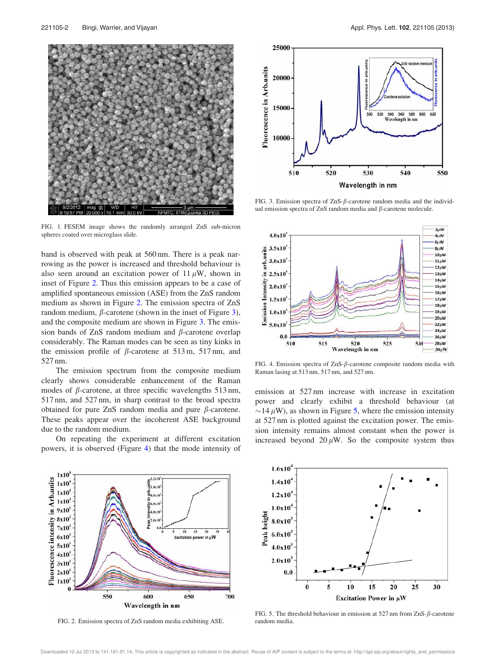

FIG. 1. FESEM image shows the randomly arranged ZnS sub-micron spheres coated over microglass slide.

band is observed with peak at 560 nm. There is a peak narrowing as the power is increased and threshold behaviour is also seen around an excitation power of  $11 \mu W$ , shown in inset of Figure 2. Thus this emission appears to be a case of amplified spontaneous emission (ASE) from the ZnS random medium as shown in Figure 2. The emission spectra of ZnS random medium,  $\beta$ -carotene (shown in the inset of Figure 3), and the composite medium are shown in Figure 3. The emission bands of  $ZnS$  random medium and  $\beta$ -carotene overlap considerably. The Raman modes can be seen as tiny kinks in the emission profile of  $\beta$ -carotene at 513 m, 517 nm, and 527 nm.

The emission spectrum from the composite medium clearly shows considerable enhancement of the Raman modes of  $\beta$ -carotene, at three specific wavelengths 513 nm, 517 nm, and 527 nm, in sharp contrast to the broad spectra obtained for pure ZnS random media and pure  $\beta$ -carotene. These peaks appear over the incoherent ASE background due to the random medium.

On repeating the experiment at different excitation powers, it is observed (Figure 4) that the mode intensity of



FIG. 3. Emission spectra of  $ZnS$ - $\beta$ -carotene random media and the individual emission spectra of ZnS random media and  $\beta$ -carotene molecule.



FIG. 4. Emission spectra of  $ZnS$ - $\beta$ -carotene composite random media with Raman lasing at 513 nm, 517 nm, and 527 nm.

emission at 527 nm increase with increase in excitation power and clearly exhibit a threshold behaviour (at  $\sim$ 14  $\mu$ W), as shown in Figure 5, where the emission intensity at 527 nm is plotted against the excitation power. The emission intensity remains almost constant when the power is increased beyond  $20 \mu W$ . So the composite system thus



FIG. 2. Emission spectra of ZnS random media exhibiting ASE.



FIG. 5. The threshold behaviour in emission at 527 nm from  $\text{ZnS-}\beta$ -carotene random media.

Downloaded 10 Jul 2013 to 141.161.91.14. This article is copyrighted as indicated in the abstract. Reuse of AIP content is subject to the terms at: http://apl.aip.org/about/rights\_and\_permissions